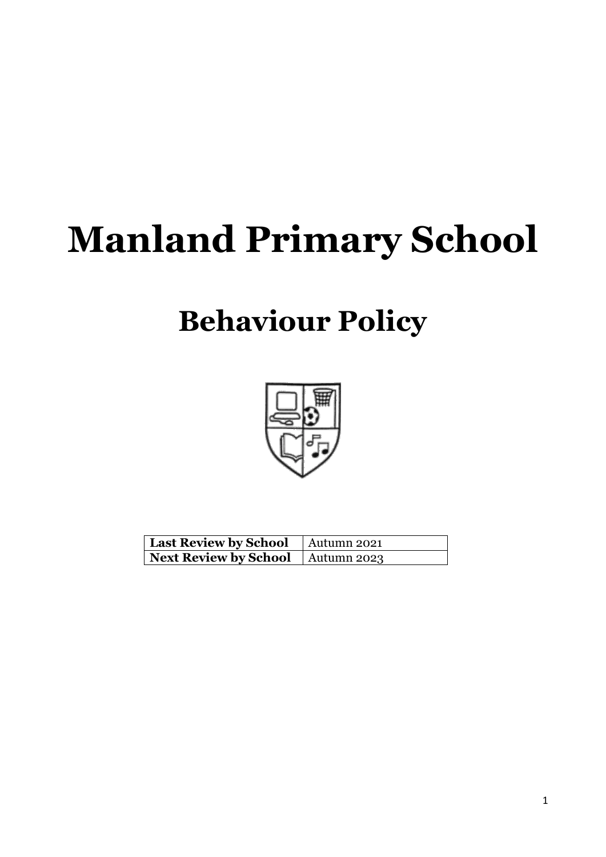# **Manland Primary School**

# **Behaviour Policy**



| Last Review by School   Autumn 2021        |  |
|--------------------------------------------|--|
| <b>Next Review by School</b>   Autumn 2023 |  |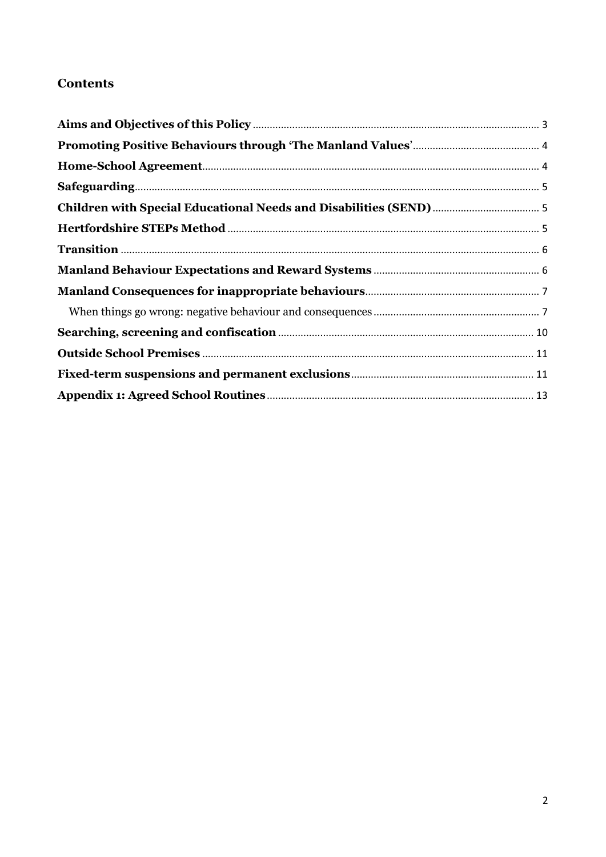# **Contents**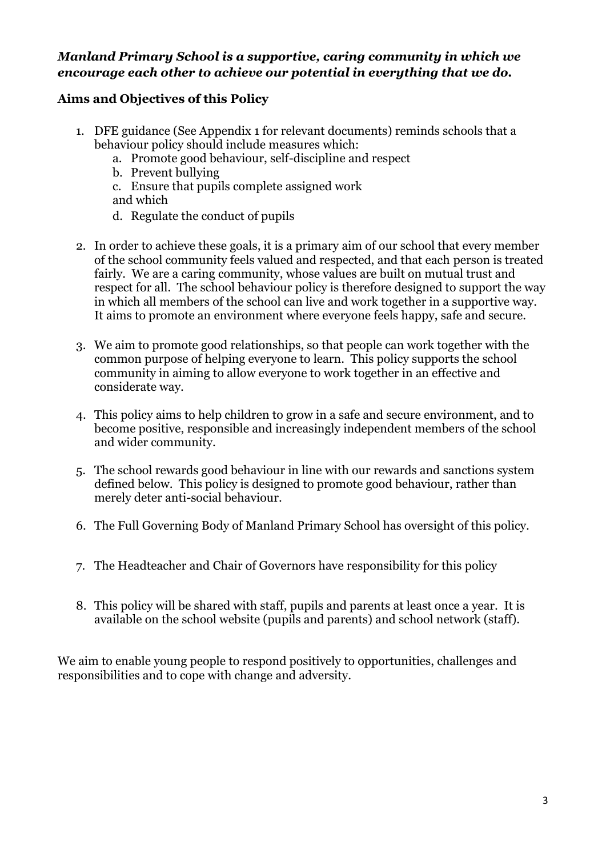## *Manland Primary School is a supportive, caring community in which we encourage each other to achieve our potential in everything that we do.*

# <span id="page-2-0"></span>**Aims and Objectives of this Policy**

- 1. DFE guidance (See Appendix 1 for relevant documents) reminds schools that a behaviour policy should include measures which:
	- a. Promote good behaviour, self-discipline and respect
	- b. Prevent bullying
	- c. Ensure that pupils complete assigned work and which
	- d. Regulate the conduct of pupils
- 2. In order to achieve these goals, it is a primary aim of our school that every member of the school community feels valued and respected, and that each person is treated fairly. We are a caring community, whose values are built on mutual trust and respect for all. The school behaviour policy is therefore designed to support the way in which all members of the school can live and work together in a supportive way. It aims to promote an environment where everyone feels happy, safe and secure.
- 3. We aim to promote good relationships, so that people can work together with the common purpose of helping everyone to learn. This policy supports the school community in aiming to allow everyone to work together in an effective and considerate way.
- 4. This policy aims to help children to grow in a safe and secure environment, and to become positive, responsible and increasingly independent members of the school and wider community.
- 5. The school rewards good behaviour in line with our rewards and sanctions system defined below. This policy is designed to promote good behaviour, rather than merely deter anti-social behaviour.
- 6. The Full Governing Body of Manland Primary School has oversight of this policy.
- 7. The Headteacher and Chair of Governors have responsibility for this policy
- 8. This policy will be shared with staff, pupils and parents at least once a year. It is available on the school website (pupils and parents) and school network (staff).

We aim to enable young people to respond positively to opportunities, challenges and responsibilities and to cope with change and adversity.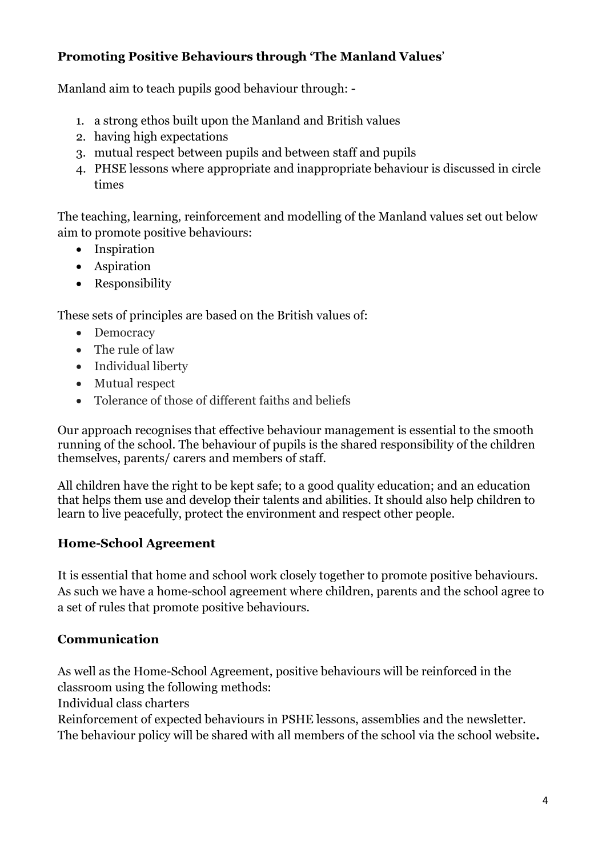# <span id="page-3-0"></span>**Promoting Positive Behaviours through 'The Manland Values**'

Manland aim to teach pupils good behaviour through: -

- 1. a strong ethos built upon the Manland and British values
- 2. having high expectations
- 3. mutual respect between pupils and between staff and pupils
- 4. PHSE lessons where appropriate and inappropriate behaviour is discussed in circle times

The teaching, learning, reinforcement and modelling of the Manland values set out below aim to promote positive behaviours:

- Inspiration
- Aspiration
- Responsibility

These sets of principles are based on the British values of:

- Democracy
- The rule of law
- Individual liberty
- Mutual respect
- Tolerance of those of different faiths and beliefs

Our approach recognises that effective behaviour management is essential to the smooth running of the school. The behaviour of pupils is the shared responsibility of the children themselves, parents/ carers and members of staff.

All children have the right to be kept safe; to a good quality education; and an education that helps them use and develop their talents and abilities. It should also help children to learn to live peacefully, protect the environment and respect other people.

# <span id="page-3-1"></span>**Home-School Agreement**

It is essential that home and school work closely together to promote positive behaviours. As such we have a home-school agreement where children, parents and the school agree to a set of rules that promote positive behaviours.

# **Communication**

As well as the Home-School Agreement, positive behaviours will be reinforced in the classroom using the following methods:

Individual class charters

Reinforcement of expected behaviours in PSHE lessons, assemblies and the newsletter. The behaviour policy will be shared with all members of the school via the school website**.**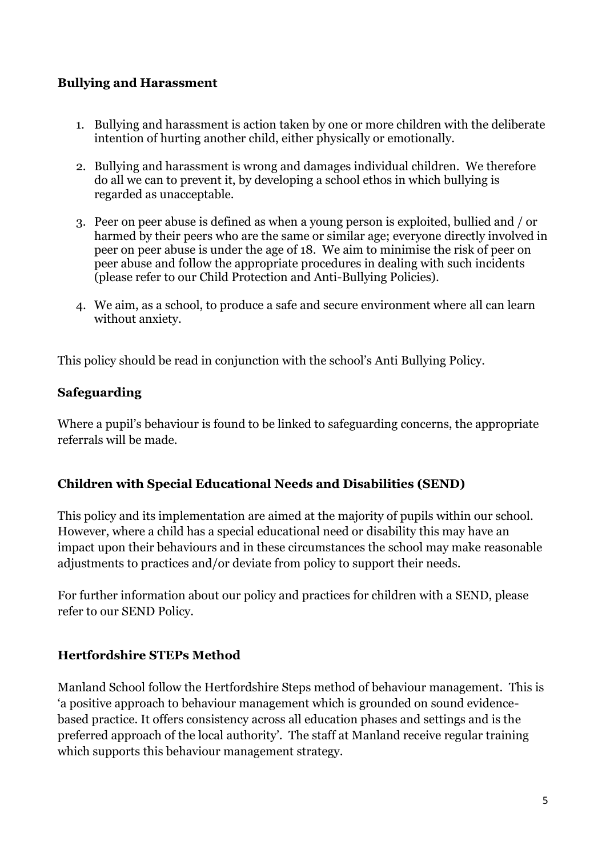# **Bullying and Harassment**

- 1. Bullying and harassment is action taken by one or more children with the deliberate intention of hurting another child, either physically or emotionally.
- 2. Bullying and harassment is wrong and damages individual children. We therefore do all we can to prevent it, by developing a school ethos in which bullying is regarded as unacceptable.
- 3. Peer on peer abuse is defined as when a young person is exploited, bullied and / or harmed by their peers who are the same or similar age; everyone directly involved in peer on peer abuse is under the age of 18. We aim to minimise the risk of peer on peer abuse and follow the appropriate procedures in dealing with such incidents (please refer to our Child Protection and Anti-Bullying Policies).
- 4. We aim, as a school, to produce a safe and secure environment where all can learn without anxiety.

This policy should be read in conjunction with the school's Anti Bullying Policy.

# <span id="page-4-0"></span>**Safeguarding**

Where a pupil's behaviour is found to be linked to safeguarding concerns, the appropriate referrals will be made.

# <span id="page-4-1"></span>**Children with Special Educational Needs and Disabilities (SEND)**

This policy and its implementation are aimed at the majority of pupils within our school. However, where a child has a special educational need or disability this may have an impact upon their behaviours and in these circumstances the school may make reasonable adjustments to practices and/or deviate from policy to support their needs.

For further information about our policy and practices for children with a SEND, please refer to our SEND Policy.

# <span id="page-4-2"></span>**Hertfordshire STEPs Method**

Manland School follow the Hertfordshire Steps method of behaviour management. This is 'a positive approach to behaviour management which is grounded on sound evidencebased practice. It offers consistency across all education phases and settings and is the preferred approach of the local authority'. The staff at Manland receive regular training which supports this behaviour management strategy.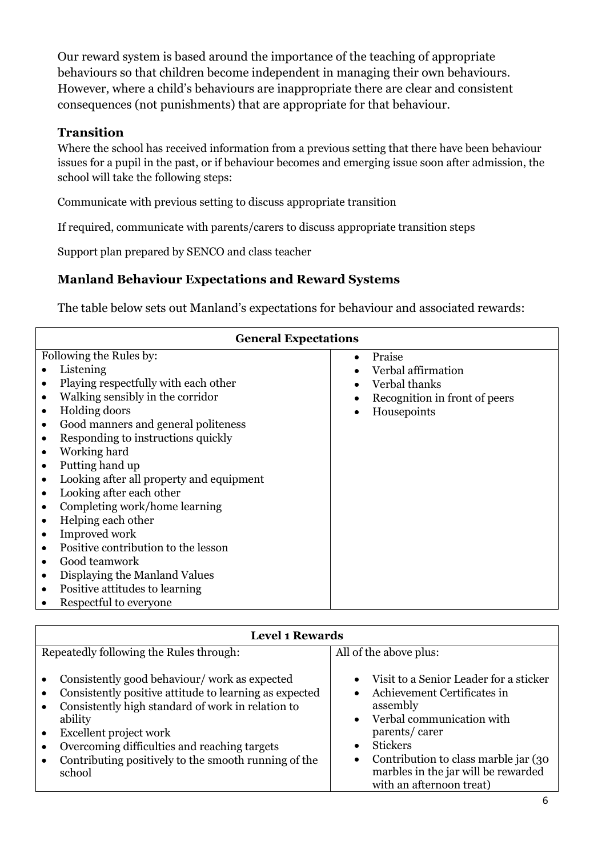Our reward system is based around the importance of the teaching of appropriate behaviours so that children become independent in managing their own behaviours. However, where a child's behaviours are inappropriate there are clear and consistent consequences (not punishments) that are appropriate for that behaviour.

#### <span id="page-5-0"></span>**Transition**

Where the school has received information from a previous setting that there have been behaviour issues for a pupil in the past, or if behaviour becomes and emerging issue soon after admission, the school will take the following steps:

Communicate with previous setting to discuss appropriate transition

If required, communicate with parents/carers to discuss appropriate transition steps

Support plan prepared by SENCO and class teacher

# <span id="page-5-1"></span>**Manland Behaviour Expectations and Reward Systems**

The table below sets out Manland's expectations for behaviour and associated rewards:

| <b>General Expectations</b>                                                                                                                                                                                                                                                                                                                                                                                                                                                                                                                                                                                                                                                                                        |                                                                                               |  |
|--------------------------------------------------------------------------------------------------------------------------------------------------------------------------------------------------------------------------------------------------------------------------------------------------------------------------------------------------------------------------------------------------------------------------------------------------------------------------------------------------------------------------------------------------------------------------------------------------------------------------------------------------------------------------------------------------------------------|-----------------------------------------------------------------------------------------------|--|
| Following the Rules by:<br>Listening<br>Playing respectfully with each other<br>Walking sensibly in the corridor<br>$\bullet$<br>Holding doors<br>$\bullet$<br>Good manners and general politeness<br>$\bullet$<br>Responding to instructions quickly<br>$\bullet$<br>Working hard<br>$\bullet$<br>Putting hand up<br>$\bullet$<br>Looking after all property and equipment<br>$\bullet$<br>Looking after each other<br>$\bullet$<br>Completing work/home learning<br>Helping each other<br>$\bullet$<br>Improved work<br>Positive contribution to the lesson<br>$\bullet$<br>Good teamwork<br>Displaying the Manland Values<br>$\bullet$<br>Positive attitudes to learning<br>$\bullet$<br>Respectful to everyone | Praise<br>Verbal affirmation<br>Verbal thanks<br>Recognition in front of peers<br>Housepoints |  |

| <b>Level 1 Rewards</b>                                                                                                                                                                                                                                                                                                          |                                                                                                                                                                                                                                                                             |  |
|---------------------------------------------------------------------------------------------------------------------------------------------------------------------------------------------------------------------------------------------------------------------------------------------------------------------------------|-----------------------------------------------------------------------------------------------------------------------------------------------------------------------------------------------------------------------------------------------------------------------------|--|
| Repeatedly following the Rules through:                                                                                                                                                                                                                                                                                         | All of the above plus:                                                                                                                                                                                                                                                      |  |
| Consistently good behaviour/work as expected<br>Consistently positive attitude to learning as expected<br>Consistently high standard of work in relation to<br>$\bullet$<br>ability<br>Excellent project work<br>Overcoming difficulties and reaching targets<br>Contributing positively to the smooth running of the<br>school | Visit to a Senior Leader for a sticker<br>Achievement Certificates in<br>assembly<br>Verbal communication with<br>$\bullet$<br>parents/carer<br><b>Stickers</b><br>Contribution to class marble jar (30)<br>marbles in the jar will be rewarded<br>with an afternoon treat) |  |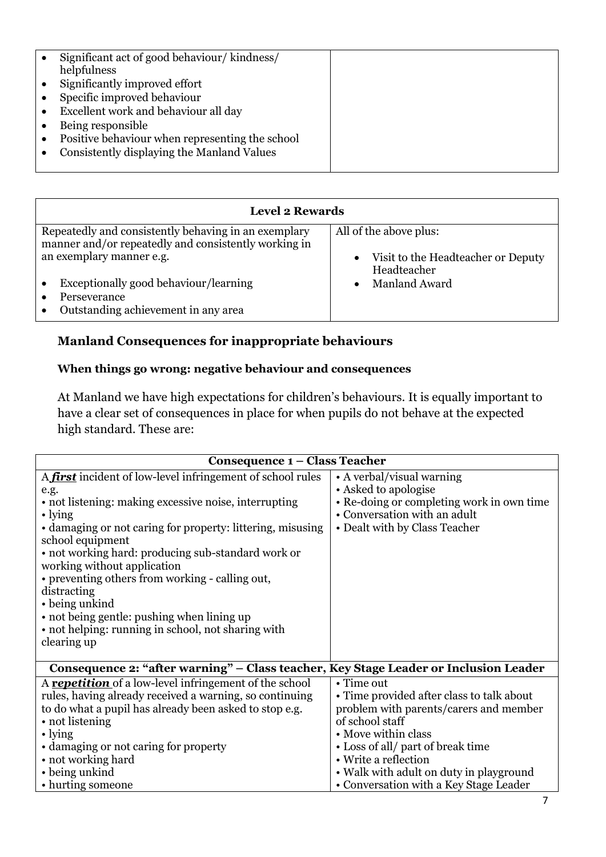|           | Significant act of good behaviour/kindness/<br>helpfulness |  |
|-----------|------------------------------------------------------------|--|
| $\bullet$ | Significantly improved effort                              |  |
|           | Specific improved behaviour                                |  |
| $\bullet$ | Excellent work and behaviour all day                       |  |
|           | Being responsible                                          |  |
| $\bullet$ | Positive behaviour when representing the school            |  |
|           | Consistently displaying the Manland Values                 |  |
|           |                                                            |  |

| <b>Level 2 Rewards</b>                               |                                                     |
|------------------------------------------------------|-----------------------------------------------------|
| Repeatedly and consistently behaving in an exemplary | All of the above plus:                              |
| manner and/or repeatedly and consistently working in |                                                     |
| an exemplary manner e.g.                             | • Visit to the Headteacher or Deputy<br>Headteacher |
| Exceptionally good behaviour/learning                | Manland Award                                       |
| Perseverance                                         |                                                     |
| Outstanding achievement in any area                  |                                                     |

# <span id="page-6-0"></span>**Manland Consequences for inappropriate behaviours**

#### <span id="page-6-1"></span>**When things go wrong: negative behaviour and consequences**

At Manland we have high expectations for children's behaviours. It is equally important to have a clear set of consequences in place for when pupils do not behave at the expected high standard. These are:

| <b>Consequence 1 – Class Teacher</b>                                                 |                                                                           |  |
|--------------------------------------------------------------------------------------|---------------------------------------------------------------------------|--|
| A first incident of low-level infringement of school rules                           | • A verbal/visual warning                                                 |  |
| e.g.                                                                                 | • Asked to apologise                                                      |  |
| • not listening: making excessive noise, interrupting<br>$\cdot$ lying               | • Re-doing or completing work in own time<br>• Conversation with an adult |  |
| • damaging or not caring for property: littering, misusing<br>school equipment       | • Dealt with by Class Teacher                                             |  |
| • not working hard: producing sub-standard work or<br>working without application    |                                                                           |  |
| • preventing others from working - calling out,                                      |                                                                           |  |
| distracting                                                                          |                                                                           |  |
| • being unkind                                                                       |                                                                           |  |
| • not being gentle: pushing when lining up                                           |                                                                           |  |
| • not helping: running in school, not sharing with                                   |                                                                           |  |
| clearing up                                                                          |                                                                           |  |
| Consequence 2: "after warning" – Class teacher, Key Stage Leader or Inclusion Leader |                                                                           |  |
| A <b>repetition</b> of a low-level infringement of the school                        | $\cdot$ Time out                                                          |  |
| rules, having already received a warning, so continuing                              | • Time provided after class to talk about                                 |  |
| to do what a pupil has already been asked to stop e.g.                               | problem with parents/carers and member                                    |  |
| • not listening                                                                      | of school staff                                                           |  |
| $\cdot$ lying                                                                        | • Move within class                                                       |  |
| • damaging or not caring for property                                                | • Loss of all/ part of break time                                         |  |
| • not working hard                                                                   | • Write a reflection                                                      |  |
| • being unkind                                                                       | • Walk with adult on duty in playground                                   |  |
| • hurting someone                                                                    | • Conversation with a Key Stage Leader                                    |  |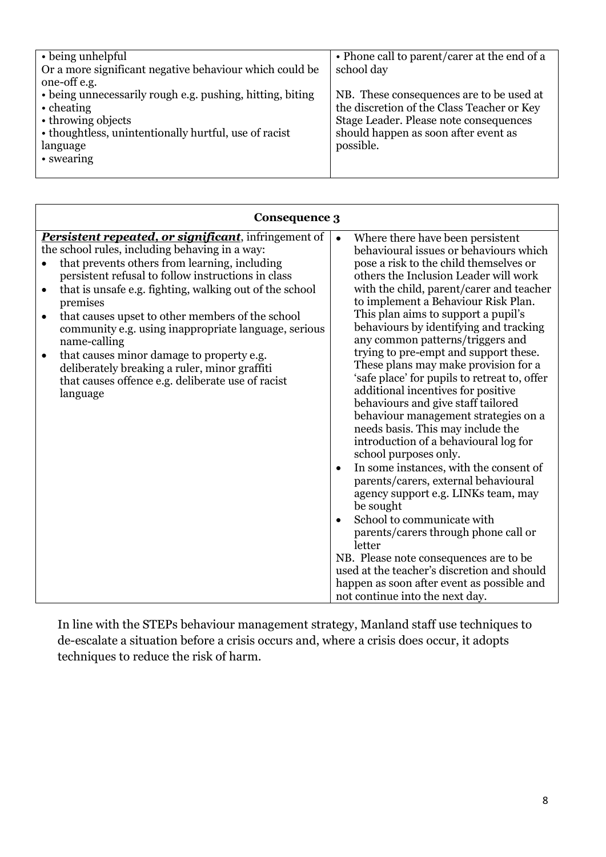| • being unhelpful                                         | • Phone call to parent/carer at the end of a |
|-----------------------------------------------------------|----------------------------------------------|
| Or a more significant negative behaviour which could be   | school day                                   |
| one-off e.g.                                              |                                              |
| • being unnecessarily rough e.g. pushing, hitting, biting | NB. These consequences are to be used at     |
| $\cdot$ cheating                                          | the discretion of the Class Teacher or Key   |
| • throwing objects                                        | Stage Leader. Please note consequences       |
| • thoughtless, unintentionally hurtful, use of racist     | should happen as soon after event as         |
| language                                                  | possible.                                    |
| • swearing                                                |                                              |
|                                                           |                                              |

| <b>Consequence 3</b>                                                                                                                                                                                                                                                                                                                                                                                                                                                                                                                                                                                                           |                                                                                                                                                                                                                                                                                                                                                                                                                                                                                                                                                                                                                                                                                                                                                                                                                                                                                                                                                                                                                                                                                                                                   |
|--------------------------------------------------------------------------------------------------------------------------------------------------------------------------------------------------------------------------------------------------------------------------------------------------------------------------------------------------------------------------------------------------------------------------------------------------------------------------------------------------------------------------------------------------------------------------------------------------------------------------------|-----------------------------------------------------------------------------------------------------------------------------------------------------------------------------------------------------------------------------------------------------------------------------------------------------------------------------------------------------------------------------------------------------------------------------------------------------------------------------------------------------------------------------------------------------------------------------------------------------------------------------------------------------------------------------------------------------------------------------------------------------------------------------------------------------------------------------------------------------------------------------------------------------------------------------------------------------------------------------------------------------------------------------------------------------------------------------------------------------------------------------------|
| <b>Persistent repeated, or significant</b> , infringement of<br>the school rules, including behaving in a way:<br>that prevents others from learning, including<br>persistent refusal to follow instructions in class<br>that is unsafe e.g. fighting, walking out of the school<br>$\bullet$<br>premises<br>that causes upset to other members of the school<br>$\bullet$<br>community e.g. using inappropriate language, serious<br>name-calling<br>that causes minor damage to property e.g.<br>$\bullet$<br>deliberately breaking a ruler, minor graffiti<br>that causes offence e.g. deliberate use of racist<br>language | Where there have been persistent<br>behavioural issues or behaviours which<br>pose a risk to the child themselves or<br>others the Inclusion Leader will work<br>with the child, parent/carer and teacher<br>to implement a Behaviour Risk Plan.<br>This plan aims to support a pupil's<br>behaviours by identifying and tracking<br>any common patterns/triggers and<br>trying to pre-empt and support these.<br>These plans may make provision for a<br>'safe place' for pupils to retreat to, offer<br>additional incentives for positive<br>behaviours and give staff tailored<br>behaviour management strategies on a<br>needs basis. This may include the<br>introduction of a behavioural log for<br>school purposes only.<br>In some instances, with the consent of<br>parents/carers, external behavioural<br>agency support e.g. LINKs team, may<br>be sought<br>School to communicate with<br>parents/carers through phone call or<br>letter<br>NB. Please note consequences are to be<br>used at the teacher's discretion and should<br>happen as soon after event as possible and<br>not continue into the next day. |

In line with the STEPs behaviour management strategy, Manland staff use techniques to de-escalate a situation before a crisis occurs and, where a crisis does occur, it adopts techniques to reduce the risk of harm.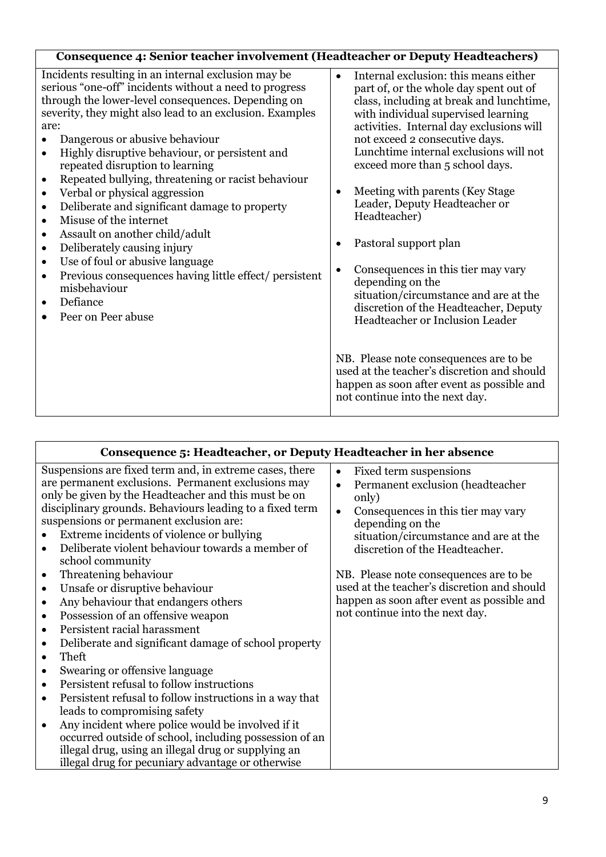| Consequence 4: Senior teacher involvement (Headteacher or Deputy Headteachers)                                                                                                                                                                                                                                                                                                                                                                                                                                                                                                                                                                                                                                                                                                                                                                                                                  |                                                                                                                                                                                                                                                                                                                                                                                                                                                                                                                                                                                                                                                     |
|-------------------------------------------------------------------------------------------------------------------------------------------------------------------------------------------------------------------------------------------------------------------------------------------------------------------------------------------------------------------------------------------------------------------------------------------------------------------------------------------------------------------------------------------------------------------------------------------------------------------------------------------------------------------------------------------------------------------------------------------------------------------------------------------------------------------------------------------------------------------------------------------------|-----------------------------------------------------------------------------------------------------------------------------------------------------------------------------------------------------------------------------------------------------------------------------------------------------------------------------------------------------------------------------------------------------------------------------------------------------------------------------------------------------------------------------------------------------------------------------------------------------------------------------------------------------|
| Incidents resulting in an internal exclusion may be<br>serious "one-off" incidents without a need to progress<br>through the lower-level consequences. Depending on<br>severity, they might also lead to an exclusion. Examples<br>are:<br>Dangerous or abusive behaviour<br>$\bullet$<br>Highly disruptive behaviour, or persistent and<br>$\bullet$<br>repeated disruption to learning<br>Repeated bullying, threatening or racist behaviour<br>$\bullet$<br>Verbal or physical aggression<br>$\bullet$<br>Deliberate and significant damage to property<br>$\bullet$<br>Misuse of the internet<br>$\bullet$<br>Assault on another child/adult<br>$\bullet$<br>Deliberately causing injury<br>$\bullet$<br>Use of foul or abusive language<br>$\bullet$<br>Previous consequences having little effect/ persistent<br>$\bullet$<br>misbehaviour<br>Defiance<br>$\bullet$<br>Peer on Peer abuse | Internal exclusion: this means either<br>$\bullet$<br>part of, or the whole day spent out of<br>class, including at break and lunchtime,<br>with individual supervised learning<br>activities. Internal day exclusions will<br>not exceed 2 consecutive days.<br>Lunchtime internal exclusions will not<br>exceed more than 5 school days.<br>Meeting with parents (Key Stage<br>$\bullet$<br>Leader, Deputy Headteacher or<br>Headteacher)<br>Pastoral support plan<br>Consequences in this tier may vary<br>depending on the<br>situation/circumstance and are at the<br>discretion of the Headteacher, Deputy<br>Headteacher or Inclusion Leader |
|                                                                                                                                                                                                                                                                                                                                                                                                                                                                                                                                                                                                                                                                                                                                                                                                                                                                                                 | NB. Please note consequences are to be<br>used at the teacher's discretion and should<br>happen as soon after event as possible and<br>not continue into the next day.                                                                                                                                                                                                                                                                                                                                                                                                                                                                              |

| Consequence 5: Headteacher, or Deputy Headteacher in her absence                                                                                                                                                                                                                                                                                                                                                                                                                                                                                                                                                                                                                                                                                                                                                                                                                                                                                                                                                                                                                                                                         |                                                                                                                                                                                                                                                                                                                                                                                                                           |
|------------------------------------------------------------------------------------------------------------------------------------------------------------------------------------------------------------------------------------------------------------------------------------------------------------------------------------------------------------------------------------------------------------------------------------------------------------------------------------------------------------------------------------------------------------------------------------------------------------------------------------------------------------------------------------------------------------------------------------------------------------------------------------------------------------------------------------------------------------------------------------------------------------------------------------------------------------------------------------------------------------------------------------------------------------------------------------------------------------------------------------------|---------------------------------------------------------------------------------------------------------------------------------------------------------------------------------------------------------------------------------------------------------------------------------------------------------------------------------------------------------------------------------------------------------------------------|
| Suspensions are fixed term and, in extreme cases, there<br>are permanent exclusions. Permanent exclusions may<br>only be given by the Headteacher and this must be on<br>disciplinary grounds. Behaviours leading to a fixed term<br>suspensions or permanent exclusion are:<br>Extreme incidents of violence or bullying<br>Deliberate violent behaviour towards a member of<br>$\bullet$<br>school community<br>Threatening behaviour<br>$\bullet$<br>Unsafe or disruptive behaviour<br>$\bullet$<br>Any behaviour that endangers others<br>$\bullet$<br>Possession of an offensive weapon<br>$\bullet$<br>Persistent racial harassment<br>$\bullet$<br>Deliberate and significant damage of school property<br>$\bullet$<br>Theft<br>Swearing or offensive language<br>$\bullet$<br>Persistent refusal to follow instructions<br>$\bullet$<br>Persistent refusal to follow instructions in a way that<br>$\bullet$<br>leads to compromising safety<br>Any incident where police would be involved if it<br>$\bullet$<br>occurred outside of school, including possession of an<br>illegal drug, using an illegal drug or supplying an | Fixed term suspensions<br>$\bullet$<br>Permanent exclusion (headteacher<br>$\bullet$<br>only)<br>Consequences in this tier may vary<br>$\bullet$<br>depending on the<br>situation/circumstance and are at the<br>discretion of the Headteacher.<br>NB. Please note consequences are to be<br>used at the teacher's discretion and should<br>happen as soon after event as possible and<br>not continue into the next day. |
| illegal drug for pecuniary advantage or otherwise                                                                                                                                                                                                                                                                                                                                                                                                                                                                                                                                                                                                                                                                                                                                                                                                                                                                                                                                                                                                                                                                                        |                                                                                                                                                                                                                                                                                                                                                                                                                           |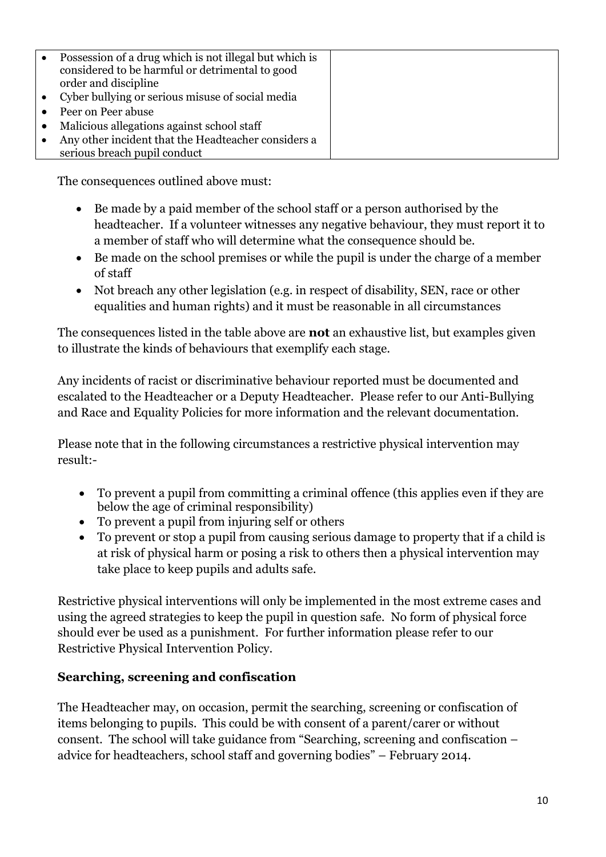| $\bullet$ | Possession of a drug which is not illegal but which is<br>considered to be harmful or detrimental to good<br>order and discipline |  |
|-----------|-----------------------------------------------------------------------------------------------------------------------------------|--|
|           | • Cyber bullying or serious misuse of social media                                                                                |  |
| $\bullet$ | Peer on Peer abuse                                                                                                                |  |
| $\bullet$ | Malicious allegations against school staff                                                                                        |  |
| $\bullet$ | Any other incident that the Headteacher considers a<br>serious breach pupil conduct                                               |  |

The consequences outlined above must:

- Be made by a paid member of the school staff or a person authorised by the headteacher. If a volunteer witnesses any negative behaviour, they must report it to a member of staff who will determine what the consequence should be.
- Be made on the school premises or while the pupil is under the charge of a member of staff
- Not breach any other legislation (e.g. in respect of disability, SEN, race or other equalities and human rights) and it must be reasonable in all circumstances

The consequences listed in the table above are **not** an exhaustive list, but examples given to illustrate the kinds of behaviours that exemplify each stage.

Any incidents of racist or discriminative behaviour reported must be documented and escalated to the Headteacher or a Deputy Headteacher. Please refer to our Anti-Bullying and Race and Equality Policies for more information and the relevant documentation.

Please note that in the following circumstances a restrictive physical intervention may result:-

- To prevent a pupil from committing a criminal offence (this applies even if they are below the age of criminal responsibility)
- To prevent a pupil from injuring self or others
- To prevent or stop a pupil from causing serious damage to property that if a child is at risk of physical harm or posing a risk to others then a physical intervention may take place to keep pupils and adults safe.

Restrictive physical interventions will only be implemented in the most extreme cases and using the agreed strategies to keep the pupil in question safe. No form of physical force should ever be used as a punishment. For further information please refer to our Restrictive Physical Intervention Policy.

# <span id="page-9-0"></span>**Searching, screening and confiscation**

The Headteacher may, on occasion, permit the searching, screening or confiscation of items belonging to pupils. This could be with consent of a parent/carer or without consent. The school will take guidance from "Searching, screening and confiscation – advice for headteachers, school staff and governing bodies" – February 2014.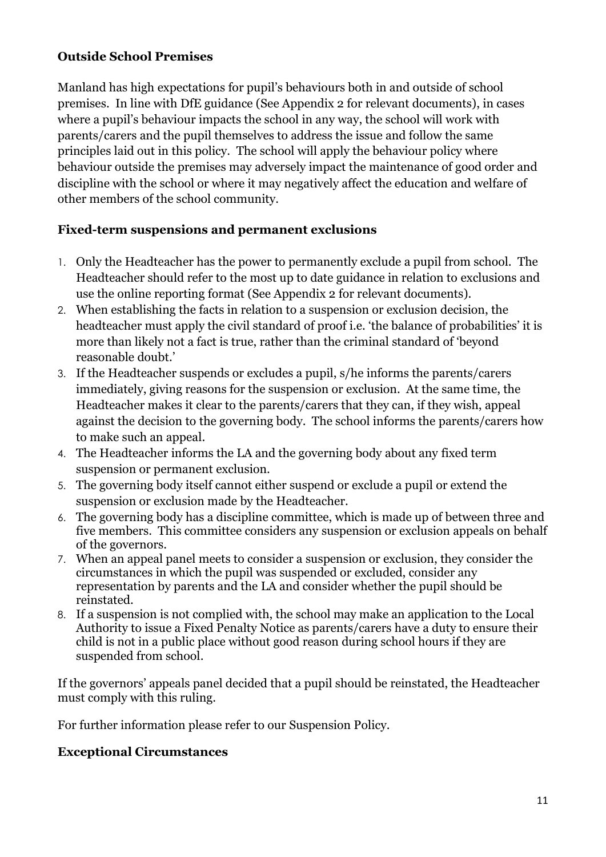# <span id="page-10-0"></span>**Outside School Premises**

Manland has high expectations for pupil's behaviours both in and outside of school premises. In line with DfE guidance (See Appendix 2 for relevant documents), in cases where a pupil's behaviour impacts the school in any way, the school will work with parents/carers and the pupil themselves to address the issue and follow the same principles laid out in this policy. The school will apply the behaviour policy where behaviour outside the premises may adversely impact the maintenance of good order and discipline with the school or where it may negatively affect the education and welfare of other members of the school community.

# <span id="page-10-1"></span>**Fixed-term suspensions and permanent exclusions**

- 1. Only the Headteacher has the power to permanently exclude a pupil from school. The Headteacher should refer to the most up to date guidance in relation to exclusions and use the online reporting format (See Appendix 2 for relevant documents).
- 2. When establishing the facts in relation to a suspension or exclusion decision, the headteacher must apply the civil standard of proof i.e. 'the balance of probabilities' it is more than likely not a fact is true, rather than the criminal standard of 'beyond reasonable doubt.'
- 3. If the Headteacher suspends or excludes a pupil, s/he informs the parents/carers immediately, giving reasons for the suspension or exclusion. At the same time, the Headteacher makes it clear to the parents/carers that they can, if they wish, appeal against the decision to the governing body. The school informs the parents/carers how to make such an appeal.
- 4. The Headteacher informs the LA and the governing body about any fixed term suspension or permanent exclusion.
- 5. The governing body itself cannot either suspend or exclude a pupil or extend the suspension or exclusion made by the Headteacher.
- 6. The governing body has a discipline committee, which is made up of between three and five members. This committee considers any suspension or exclusion appeals on behalf of the governors.
- 7. When an appeal panel meets to consider a suspension or exclusion, they consider the circumstances in which the pupil was suspended or excluded, consider any representation by parents and the LA and consider whether the pupil should be reinstated.
- 8. If a suspension is not complied with, the school may make an application to the Local Authority to issue a Fixed Penalty Notice as parents/carers have a duty to ensure their child is not in a public place without good reason during school hours if they are suspended from school.

If the governors' appeals panel decided that a pupil should be reinstated, the Headteacher must comply with this ruling.

For further information please refer to our Suspension Policy.

# **Exceptional Circumstances**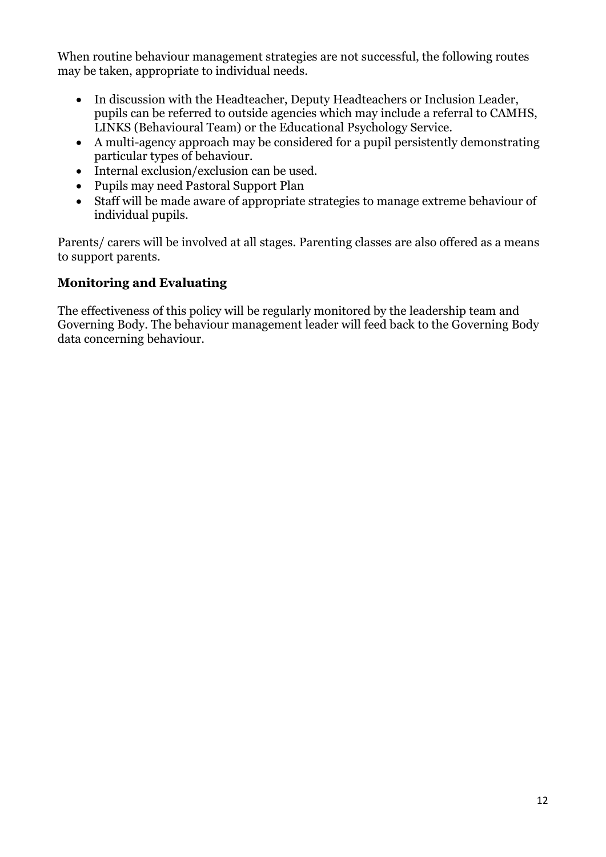When routine behaviour management strategies are not successful, the following routes may be taken, appropriate to individual needs.

- In discussion with the Headteacher, Deputy Headteachers or Inclusion Leader, pupils can be referred to outside agencies which may include a referral to CAMHS, LINKS (Behavioural Team) or the Educational Psychology Service.
- A multi-agency approach may be considered for a pupil persistently demonstrating particular types of behaviour.
- Internal exclusion/exclusion can be used.
- Pupils may need Pastoral Support Plan
- Staff will be made aware of appropriate strategies to manage extreme behaviour of individual pupils.

Parents/ carers will be involved at all stages. Parenting classes are also offered as a means to support parents.

#### **Monitoring and Evaluating**

The effectiveness of this policy will be regularly monitored by the leadership team and Governing Body. The behaviour management leader will feed back to the Governing Body data concerning behaviour.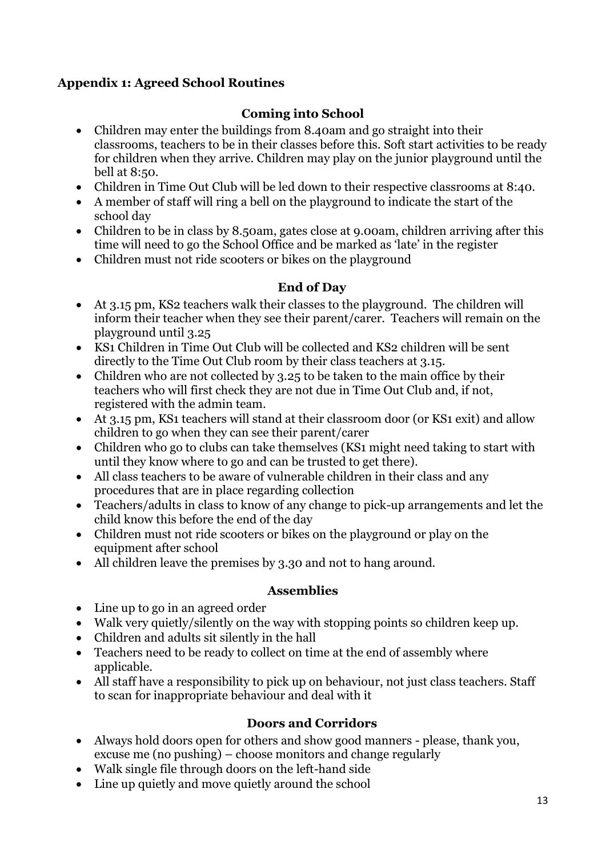# <span id="page-12-0"></span>**Appendix 1: Agreed School Routines**

# **Coming into School**

- Children may enter the buildings from 8.40am and go straight into their classrooms, teachers to be in their classes before this. Soft start activities to be ready for children when they arrive. Children may play on the junior playground until the bell at 8:50.
- Children in Time Out Club will be led down to their respective classrooms at 8:40.
- A member of staff will ring a bell on the playground to indicate the start of the school day
- Children to be in class by 8.50am, gates close at 9.00am, children arriving after this time will need to go the School Office and be marked as 'late' in the register
- Children must not ride scooters or bikes on the playground

#### **End of Day**

- At 3.15 pm, KS2 teachers walk their classes to the playground. The children will inform their teacher when they see their parent/carer. Teachers will remain on the playground until 3.25
- KS1 Children in Time Out Club will be collected and KS2 children will be sent directly to the Time Out Club room by their class teachers at 3.15.
- Children who are not collected by 3.25 to be taken to the main office by their teachers who will first check they are not due in Time Out Club and, if not, registered with the admin team.
- At 3.15 pm, KS1 teachers will stand at their classroom door (or KS1 exit) and allow children to go when they can see their parent/carer
- Children who go to clubs can take themselves (KS1 might need taking to start with until they know where to go and can be trusted to get there).
- All class teachers to be aware of vulnerable children in their class and any procedures that are in place regarding collection
- Teachers/adults in class to know of any change to pick-up arrangements and let the child know this before the end of the day
- Children must not ride scooters or bikes on the playground or play on the equipment after school
- All children leave the premises by 3.30 and not to hang around.

#### **Assemblies**

- Line up to go in an agreed order
- Walk very quietly/silently on the way with stopping points so children keep up.
- Children and adults sit silently in the hall
- Teachers need to be ready to collect on time at the end of assembly where applicable.
- All staff have a responsibility to pick up on behaviour, not just class teachers. Staff to scan for inappropriate behaviour and deal with it

#### **Doors and Corridors**

- Always hold doors open for others and show good manners please, thank you, excuse me (no pushing) – choose monitors and change regularly
- Walk single file through doors on the left-hand side
- Line up quietly and move quietly around the school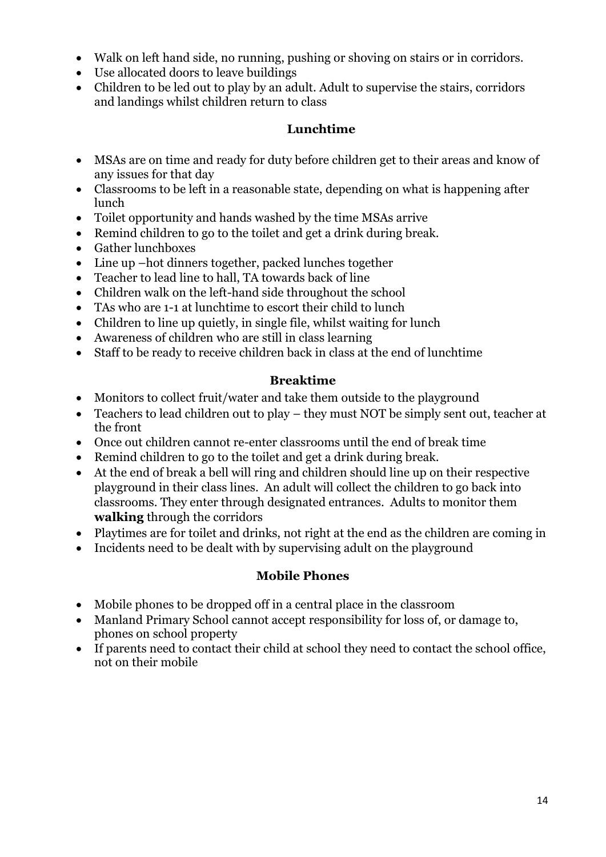- Walk on left hand side, no running, pushing or shoving on stairs or in corridors.
- Use allocated doors to leave buildings
- Children to be led out to play by an adult. Adult to supervise the stairs, corridors and landings whilst children return to class

# **Lunchtime**

- MSAs are on time and ready for duty before children get to their areas and know of any issues for that day
- Classrooms to be left in a reasonable state, depending on what is happening after lunch
- Toilet opportunity and hands washed by the time MSAs arrive
- Remind children to go to the toilet and get a drink during break.
- Gather lunchboxes
- Line up –hot dinners together, packed lunches together
- Teacher to lead line to hall, TA towards back of line
- Children walk on the left-hand side throughout the school
- TAs who are 1-1 at lunchtime to escort their child to lunch
- Children to line up quietly, in single file, whilst waiting for lunch
- Awareness of children who are still in class learning
- Staff to be ready to receive children back in class at the end of lunchtime

#### **Breaktime**

- Monitors to collect fruit/water and take them outside to the playground
- Teachers to lead children out to play they must NOT be simply sent out, teacher at the front
- Once out children cannot re-enter classrooms until the end of break time
- Remind children to go to the toilet and get a drink during break.
- At the end of break a bell will ring and children should line up on their respective playground in their class lines. An adult will collect the children to go back into classrooms. They enter through designated entrances. Adults to monitor them **walking** through the corridors
- Playtimes are for toilet and drinks, not right at the end as the children are coming in
- Incidents need to be dealt with by supervising adult on the playground

# **Mobile Phones**

- Mobile phones to be dropped off in a central place in the classroom
- Manland Primary School cannot accept responsibility for loss of, or damage to, phones on school property
- If parents need to contact their child at school they need to contact the school office, not on their mobile